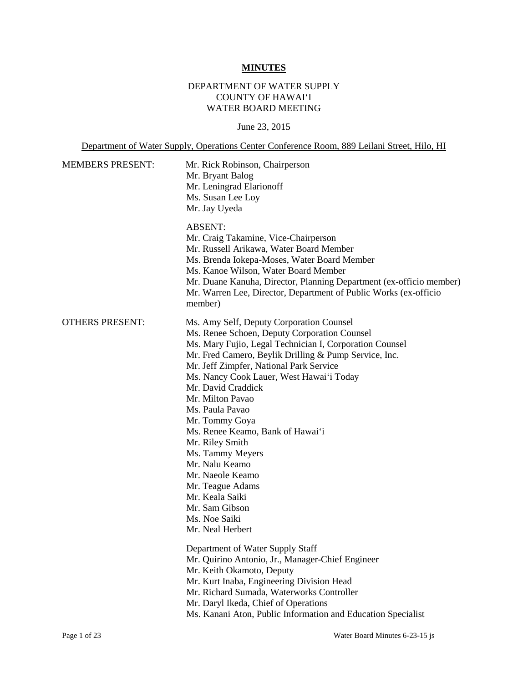# **MINUTES**

# DEPARTMENT OF WATER SUPPLY COUNTY OF HAWAI'I WATER BOARD MEETING

## June 23, 2015

Department of Water Supply, Operations Center Conference Room, 889 Leilani Street, Hilo, HI

| <b>MEMBERS PRESENT:</b> | Mr. Rick Robinson, Chairperson<br>Mr. Bryant Balog<br>Mr. Leningrad Elarionoff<br>Ms. Susan Lee Loy<br>Mr. Jay Uyeda                                                                                                                                                                                                                                                                                                                                                                                                                                                                              |  |  |
|-------------------------|---------------------------------------------------------------------------------------------------------------------------------------------------------------------------------------------------------------------------------------------------------------------------------------------------------------------------------------------------------------------------------------------------------------------------------------------------------------------------------------------------------------------------------------------------------------------------------------------------|--|--|
|                         | <b>ABSENT:</b><br>Mr. Craig Takamine, Vice-Chairperson<br>Mr. Russell Arikawa, Water Board Member<br>Ms. Brenda Iokepa-Moses, Water Board Member<br>Ms. Kanoe Wilson, Water Board Member<br>Mr. Duane Kanuha, Director, Planning Department (ex-officio member)<br>Mr. Warren Lee, Director, Department of Public Works (ex-officio<br>member)                                                                                                                                                                                                                                                    |  |  |
| <b>OTHERS PRESENT:</b>  | Ms. Amy Self, Deputy Corporation Counsel<br>Ms. Renee Schoen, Deputy Corporation Counsel<br>Ms. Mary Fujio, Legal Technician I, Corporation Counsel<br>Mr. Fred Camero, Beylik Drilling & Pump Service, Inc.<br>Mr. Jeff Zimpfer, National Park Service<br>Ms. Nancy Cook Lauer, West Hawai'i Today<br>Mr. David Craddick<br>Mr. Milton Pavao<br>Ms. Paula Pavao<br>Mr. Tommy Goya<br>Ms. Renee Keamo, Bank of Hawai'i<br>Mr. Riley Smith<br>Ms. Tammy Meyers<br>Mr. Nalu Keamo<br>Mr. Naeole Keamo<br>Mr. Teague Adams<br>Mr. Keala Saiki<br>Mr. Sam Gibson<br>Ms. Noe Saiki<br>Mr. Neal Herbert |  |  |
|                         | Department of Water Supply Staff<br>Mr. Quirino Antonio, Jr., Manager-Chief Engineer<br>Mr. Keith Okamoto, Deputy<br>Mr. Kurt Inaba, Engineering Division Head<br>Mr. Richard Sumada, Waterworks Controller<br>Mr. Daryl Ikeda, Chief of Operations<br>Ms. Kanani Aton, Public Information and Education Specialist                                                                                                                                                                                                                                                                               |  |  |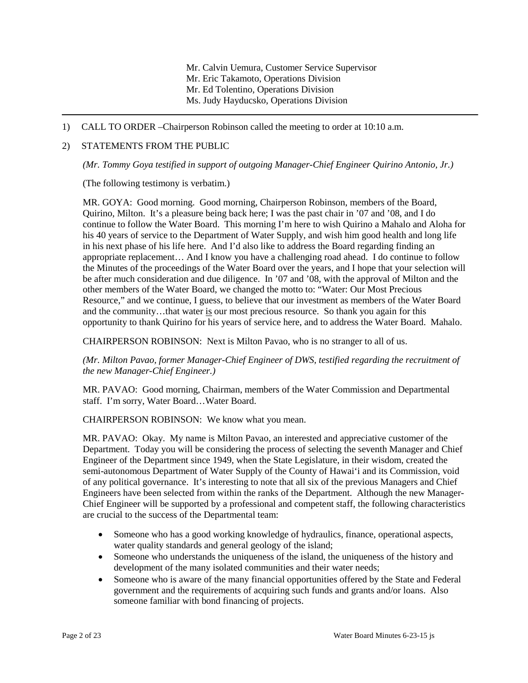Mr. Calvin Uemura, Customer Service Supervisor Mr. Eric Takamoto, Operations Division Mr. Ed Tolentino, Operations Division Ms. Judy Hayducsko, Operations Division

1) CALL TO ORDER –Chairperson Robinson called the meeting to order at 10:10 a.m.

### 2) STATEMENTS FROM THE PUBLIC

*(Mr. Tommy Goya testified in support of outgoing Manager-Chief Engineer Quirino Antonio, Jr.)* 

(The following testimony is verbatim.)

 MR. GOYA: Good morning. Good morning, Chairperson Robinson, members of the Board, continue to follow the Water Board. This morning I'm here to wish Quirino a Mahalo and Aloha for in his next phase of his life here. And I'd also like to address the Board regarding finding an appropriate replacement… And I know you have a challenging road ahead. I do continue to follow other members of the Water Board, we changed the motto to: "Water: Our Most Precious and the community...that water is our most precious resource. So thank you again for this Quirino, Milton. It's a pleasure being back here; I was the past chair in '07 and '08, and I do his 40 years of service to the Department of Water Supply, and wish him good health and long life the Minutes of the proceedings of the Water Board over the years, and I hope that your selection will be after much consideration and due diligence. In '07 and '08, with the approval of Milton and the Resource," and we continue, I guess, to believe that our investment as members of the Water Board opportunity to thank Quirino for his years of service here, and to address the Water Board. Mahalo.

CHAIRPERSON ROBINSON: Next is Milton Pavao, who is no stranger to all of us.

*(Mr. Milton Pavao, former Manager-Chief Engineer of DWS, testified regarding the recruitment of the new Manager-Chief Engineer.)* 

 MR. PAVAO: Good morning, Chairman, members of the Water Commission and Departmental staff. I'm sorry, Water Board…Water Board.

CHAIRPERSON ROBINSON: We know what you mean.

 MR. PAVAO: Okay. My name is Milton Pavao, an interested and appreciative customer of the Department. Today you will be considering the process of selecting the seventh Manager and Chief semi-autonomous Department of Water Supply of the County of Hawai'i and its Commission, void of any political governance. It's interesting to note that all six of the previous Managers and Chief Engineers have been selected from within the ranks of the Department. Although the new Manager-Engineer of the Department since 1949, when the State Legislature, in their wisdom, created the Chief Engineer will be supported by a professional and competent staff, the following characteristics are crucial to the success of the Departmental team:

- Someone who has a good working knowledge of hydraulics, finance, operational aspects, water quality standards and general geology of the island;
- Someone who understands the uniqueness of the island, the uniqueness of the history and development of the many isolated communities and their water needs;
- Someone who is aware of the many financial opportunities offered by the State and Federal government and the requirements of acquiring such funds and grants and/or loans. Also someone familiar with bond financing of projects.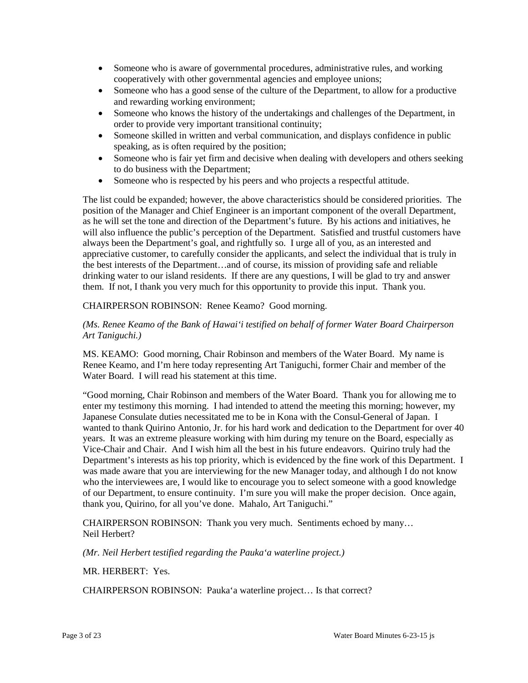- cooperatively with other governmental agencies and employee unions; • Someone who is aware of governmental procedures, administrative rules, and working
- Someone who has a good sense of the culture of the Department, to allow for a productive and rewarding working environment;
- order to provide very important transitional continuity; • Someone who knows the history of the undertakings and challenges of the Department, in
- Someone skilled in written and verbal communication, and displays confidence in public speaking, as is often required by the position;
- Someone who is fair yet firm and decisive when dealing with developers and others seeking to do business with the Department;
- Someone who is respected by his peers and who projects a respectful attitude.

 position of the Manager and Chief Engineer is an important component of the overall Department, will also influence the public's perception of the Department. Satisfied and trustful customers have appreciative customer, to carefully consider the applicants, and select the individual that is truly in The list could be expanded; however, the above characteristics should be considered priorities. The as he will set the tone and direction of the Department's future. By his actions and initiatives, he always been the Department's goal, and rightfully so. I urge all of you, as an interested and the best interests of the Department…and of course, its mission of providing safe and reliable drinking water to our island residents. If there are any questions, I will be glad to try and answer them. If not, I thank you very much for this opportunity to provide this input. Thank you.

# CHAIRPERSON ROBINSON: Renee Keamo? Good morning.

## *(Ms. Renee Keamo of the Bank of Hawai'i testified on behalf of former Water Board Chairperson Art Taniguchi.)*

 MS. KEAMO: Good morning, Chair Robinson and members of the Water Board. My name is Water Board. I will read his statement at this time. Renee Keamo, and I'm here today representing Art Taniguchi, former Chair and member of the

 Japanese Consulate duties necessitated me to be in Kona with the Consul-General of Japan. I wanted to thank Quirino Antonio, Jr. for his hard work and dedication to the Department for over 40 Vice-Chair and Chair. And I wish him all the best in his future endeavors. Quirino truly had the was made aware that you are interviewing for the new Manager today, and although I do not know thank you, Quirino, for all you've done. Mahalo, Art Taniguchi." "Good morning, Chair Robinson and members of the Water Board. Thank you for allowing me to enter my testimony this morning. I had intended to attend the meeting this morning; however, my years. It was an extreme pleasure working with him during my tenure on the Board, especially as Department's interests as his top priority, which is evidenced by the fine work of this Department. I who the interviewees are, I would like to encourage you to select someone with a good knowledge of our Department, to ensure continuity. I'm sure you will make the proper decision. Once again,

 Neil Herbert? CHAIRPERSON ROBINSON: Thank you very much. Sentiments echoed by many…

 *(Mr. Neil Herbert testified regarding the Pauka'a waterline project.)* 

MR. HERBERT: Yes.

CHAIRPERSON ROBINSON: Pauka'a waterline project… Is that correct?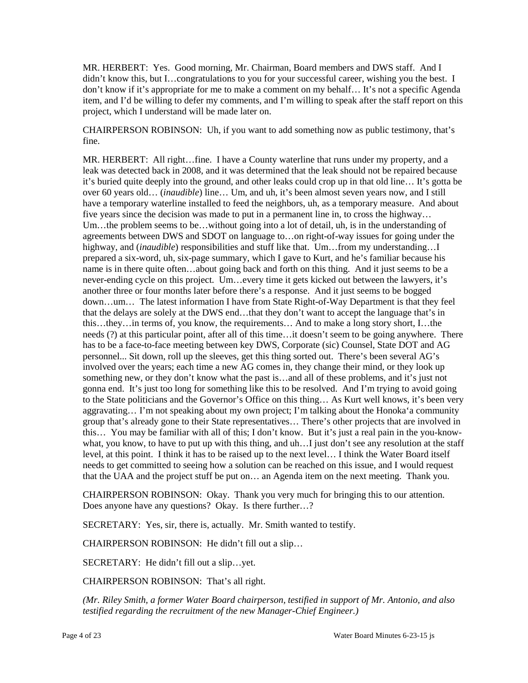MR. HERBERT: Yes. Good morning, Mr. Chairman, Board members and DWS staff. And I don't know if it's appropriate for me to make a comment on my behalf… It's not a specific Agenda item, and I'd be willing to defer my comments, and I'm willing to speak after the staff report on this didn't know this, but I…congratulations to you for your successful career, wishing you the best. I project, which I understand will be made later on.

CHAIRPERSON ROBINSON: Uh, if you want to add something now as public testimony, that's fine.

 Um…the problem seems to be…without going into a lot of detail, uh, is in the understanding of agreements between DWS and SDOT on language to…on right-of-way issues for going under the name is in there quite often…about going back and forth on this thing. And it just seems to be a another three or four months later before there's a response. And it just seems to be bogged that the delays are solely at the DWS end…that they don't want to accept the language that's in needs (?) at this particular point, after all of this time…it doesn't seem to be going anywhere. There something new, or they don't know what the past is…and all of these problems, and it's just not gonna end. It's just too long for something like this to be resolved. And I'm trying to avoid going this… You may be familiar with all of this; I don't know. But it's just a real pain in the you-know- what, you know, to have to put up with this thing, and uh…I just don't see any resolution at the staff level, at this point. I think it has to be raised up to the next level… I think the Water Board itself needs to get committed to seeing how a solution can be reached on this issue, and I would request MR. HERBERT: All right…fine. I have a County waterline that runs under my property, and a leak was detected back in 2008, and it was determined that the leak should not be repaired because it's buried quite deeply into the ground, and other leaks could crop up in that old line… It's gotta be over 60 years old… (*inaudible*) line… Um, and uh, it's been almost seven years now, and I still have a temporary waterline installed to feed the neighbors, uh, as a temporary measure. And about five years since the decision was made to put in a permanent line in, to cross the highway… highway, and *(inaudible)* responsibilities and stuff like that. Um...from my understanding...I prepared a six-word, uh, six-page summary, which I gave to Kurt, and he's familiar because his never-ending cycle on this project. Um…every time it gets kicked out between the lawyers, it's down…um… The latest information I have from State Right-of-Way Department is that they feel this…they…in terms of, you know, the requirements… And to make a long story short, I…the has to be a face-to-face meeting between key DWS, Corporate (sic) Counsel, State DOT and AG personnel... Sit down, roll up the sleeves, get this thing sorted out. There's been several AG's involved over the years; each time a new AG comes in, they change their mind, or they look up to the State politicians and the Governor's Office on this thing… As Kurt well knows, it's been very aggravating… I'm not speaking about my own project; I'm talking about the Honoka'a community group that's already gone to their State representatives… There's other projects that are involved in that the UAA and the project stuff be put on… an Agenda item on the next meeting. Thank you.

 CHAIRPERSON ROBINSON: Okay. Thank you very much for bringing this to our attention. Does anyone have any questions? Okay. Is there further…?

SECRETARY: Yes, sir, there is, actually. Mr. Smith wanted to testify.

CHAIRPERSON ROBINSON: He didn't fill out a slip…

SECRETARY: He didn't fill out a slip…yet.

CHAIRPERSON ROBINSON: That's all right.

 *testified regarding the recruitment of the new Manager-Chief Engineer.) (Mr. Riley Smith, a former Water Board chairperson, testified in support of Mr. Antonio, and also*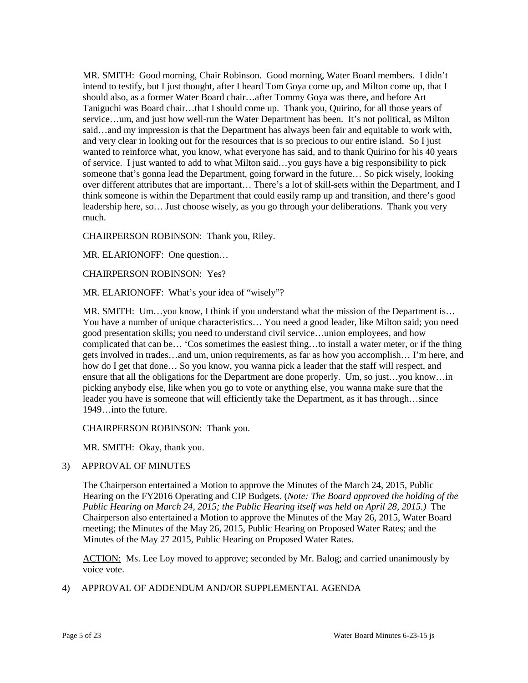MR. SMITH: Good morning, Chair Robinson. Good morning, Water Board members. I didn't should also, as a former Water Board chair…after Tommy Goya was there, and before Art service…um, and just how well-run the Water Department has been. It's not political, as Milton and very clear in looking out for the resources that is so precious to our entire island. So I just wanted to reinforce what, you know, what everyone has said, and to thank Quirino for his 40 years over different attributes that are important… There's a lot of skill-sets within the Department, and I intend to testify, but I just thought, after I heard Tom Goya come up, and Milton come up, that I Taniguchi was Board chair…that I should come up. Thank you, Quirino, for all those years of said…and my impression is that the Department has always been fair and equitable to work with, of service. I just wanted to add to what Milton said…you guys have a big responsibility to pick someone that's gonna lead the Department, going forward in the future… So pick wisely, looking think someone is within the Department that could easily ramp up and transition, and there's good leadership here, so… Just choose wisely, as you go through your deliberations. Thank you very much.

CHAIRPERSON ROBINSON: Thank you, Riley.

MR. ELARIONOFF: One question…

CHAIRPERSON ROBINSON: Yes?

MR. ELARIONOFF: What's your idea of "wisely"?

 complicated that can be… 'Cos sometimes the easiest thing…to install a water meter, or if the thing ensure that all the obligations for the Department are done properly. Um, so just…you know…in picking anybody else, like when you go to vote or anything else, you wanna make sure that the MR. SMITH: Um…you know, I think if you understand what the mission of the Department is… You have a number of unique characteristics… You need a good leader, like Milton said; you need good presentation skills; you need to understand civil service…union employees, and how gets involved in trades…and um, union requirements, as far as how you accomplish… I'm here, and how do I get that done… So you know, you wanna pick a leader that the staff will respect, and leader you have is someone that will efficiently take the Department, as it has through…since 1949…into the future.

CHAIRPERSON ROBINSON: Thank you.

MR. SMITH: Okay, thank you.

## 3) APPROVAL OF MINUTES

 The Chairperson entertained a Motion to approve the Minutes of the March 24, 2015, Public  *Public Hearing on March 24, 2015; the Public Hearing itself was held on April 28, 2015.)* The Chairperson also entertained a Motion to approve the Minutes of the May 26, 2015, Water Board meeting; the Minutes of the May 26, 2015, Public Hearing on Proposed Water Rates; and the Minutes of the May 27 2015, Public Hearing on Proposed Water Rates. Hearing on the FY2016 Operating and CIP Budgets. (*Note: The Board approved the holding of the* 

ACTION: Ms. Lee Loy moved to approve; seconded by Mr. Balog; and carried unanimously by voice vote.

## 4) APPROVAL OF ADDENDUM AND/OR SUPPLEMENTAL AGENDA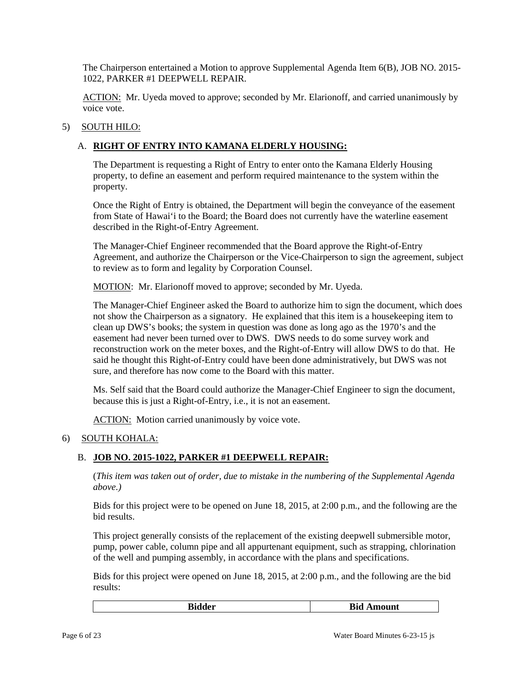The Chairperson entertained a Motion to approve Supplemental Agenda Item 6(B), JOB NO. 2015 1022, PARKER #1 DEEPWELL REPAIR.

ACTION: Mr. Uyeda moved to approve; seconded by Mr. Elarionoff, and carried unanimously by voice vote.

# 5) SOUTH HILO:

# A. **RIGHT OF ENTRY INTO KAMANA ELDERLY HOUSING:**

The Department is requesting a Right of Entry to enter onto the Kamana Elderly Housing property, to define an easement and perform required maintenance to the system within the property.

 from State of Hawai'i to the Board; the Board does not currently have the waterline easement Once the Right of Entry is obtained, the Department will begin the conveyance of the easement described in the Right-of-Entry Agreement.

 Agreement, and authorize the Chairperson or the Vice-Chairperson to sign the agreement, subject The Manager-Chief Engineer recommended that the Board approve the Right-of-Entry to review as to form and legality by Corporation Counsel.

MOTION: Mr. Elarionoff moved to approve; seconded by Mr. Uyeda.

The Manager-Chief Engineer asked the Board to authorize him to sign the document, which does not show the Chairperson as a signatory. He explained that this item is a housekeeping item to clean up DWS's books; the system in question was done as long ago as the 1970's and the easement had never been turned over to DWS. DWS needs to do some survey work and reconstruction work on the meter boxes, and the Right-of-Entry will allow DWS to do that. He said he thought this Right-of-Entry could have been done administratively, but DWS was not sure, and therefore has now come to the Board with this matter.

 Ms. Self said that the Board could authorize the Manager-Chief Engineer to sign the document, because this is just a Right-of-Entry, i.e., it is not an easement.

ACTION: Motion carried unanimously by voice vote.

## 6) SOUTH KOHALA:

# B. **JOB NO. 2015-1022, PARKER #1 DEEPWELL REPAIR:**

 (*This item was taken out of order, due to mistake in the numbering of the Supplemental Agenda above.)* 

Bids for this project were to be opened on June 18, 2015, at 2:00 p.m., and the following are the bid results.

This project generally consists of the replacement of the existing deepwell submersible motor, pump, power cable, column pipe and all appurtenant equipment, such as strapping, chlorination of the well and pumping assembly, in accordance with the plans and specifications.

Bids for this project were opened on June 18, 2015, at 2:00 p.m., and the following are the bid results:

|    | n!           |
|----|--------------|
| n: | - Bid Amount |
| .  |              |
|    |              |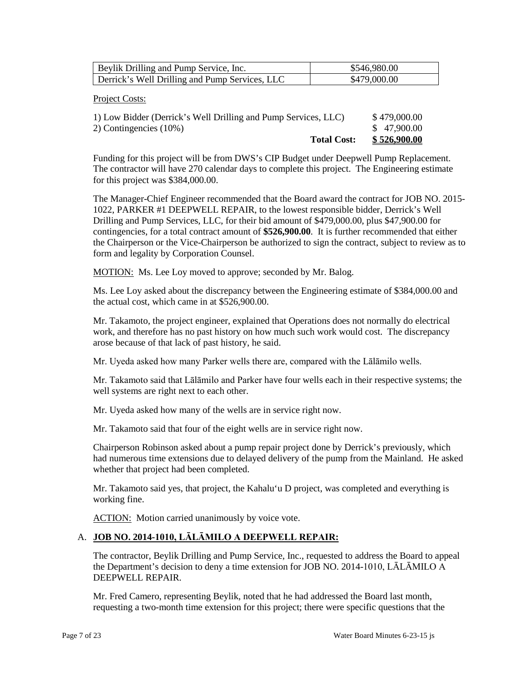| Beylik Drilling and Pump Service, Inc.         | \$546,980.00 |
|------------------------------------------------|--------------|
| Derrick's Well Drilling and Pump Services, LLC | \$479,000.00 |

### Project Costs:

| <b>Total Cost:</b>                                             | \$526,900.00 |
|----------------------------------------------------------------|--------------|
| 2) Contingencies $(10\%)$                                      | \$47,900.00  |
| 1) Low Bidder (Derrick's Well Drilling and Pump Services, LLC) | \$479,000.00 |

 The contractor will have 270 calendar days to complete this project. The Engineering estimate Funding for this project will be from DWS's CIP Budget under Deepwell Pump Replacement. for this project was \$384,000.00.

 The Manager-Chief Engineer recommended that the Board award the contract for JOB NO. 2015 Drilling and Pump Services, LLC, for their bid amount of \$479,000.00, plus \$47,900.00 for contingencies, for a total contract amount of **\$526,900.00**. It is further recommended that either the Chairperson or the Vice-Chairperson be authorized to sign the contract, subject to review as to 1022, PARKER #1 DEEPWELL REPAIR, to the lowest responsible bidder, Derrick's Well form and legality by Corporation Counsel.

MOTION: Ms. Lee Loy moved to approve; seconded by Mr. Balog.

Ms. Lee Loy asked about the discrepancy between the Engineering estimate of \$384,000.00 and the actual cost, which came in at \$526,900.00.

 work, and therefore has no past history on how much such work would cost. The discrepancy Mr. Takamoto, the project engineer, explained that Operations does not normally do electrical arose because of that lack of past history, he said.

Mr. Uyeda asked how many Parker wells there are, compared with the Lālāmilo wells.

Mr. Takamoto said that Lālāmilo and Parker have four wells each in their respective systems; the well systems are right next to each other.

Mr. Uyeda asked how many of the wells are in service right now.

Mr. Takamoto said that four of the eight wells are in service right now.

Chairperson Robinson asked about a pump repair project done by Derrick's previously, which had numerous time extensions due to delayed delivery of the pump from the Mainland. He asked whether that project had been completed.

Mr. Takamoto said yes, that project, the Kahalu'u D project, was completed and everything is working fine.

ACTION: Motion carried unanimously by voice vote.

## A. **JOB NO. 2014-1010, LĀLĀMILO A DEEPWELL REPAIR:**

 the Department's decision to deny a time extension for JOB NO. 2014-1010, LĀLĀMILO A The contractor, Beylik Drilling and Pump Service, Inc., requested to address the Board to appeal DEEPWELL REPAIR.

Mr. Fred Camero, representing Beylik, noted that he had addressed the Board last month, requesting a two-month time extension for this project; there were specific questions that the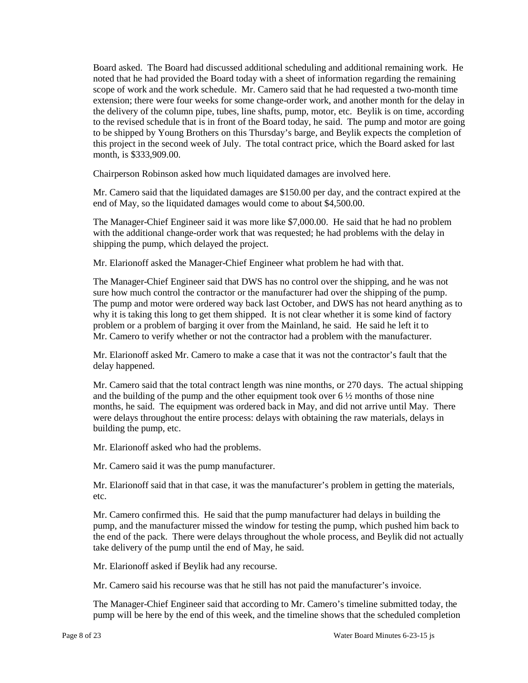scope of work and the work schedule. Mr. Camero said that he had requested a two-month time extension; there were four weeks for some change-order work, and another month for the delay in to the revised schedule that is in front of the Board today, he said. The pump and motor are going this project in the second week of July. The total contract price, which the Board asked for last Board asked. The Board had discussed additional scheduling and additional remaining work. He noted that he had provided the Board today with a sheet of information regarding the remaining the delivery of the column pipe, tubes, line shafts, pump, motor, etc. Beylik is on time, according to be shipped by Young Brothers on this Thursday's barge, and Beylik expects the completion of month, is \$333,909.00.

Chairperson Robinson asked how much liquidated damages are involved here.

 Mr. Camero said that the liquidated damages are \$150.00 per day, and the contract expired at the end of May, so the liquidated damages would come to about \$4,500.00.

 The Manager-Chief Engineer said it was more like \$7,000.00. He said that he had no problem with the additional change-order work that was requested; he had problems with the delay in shipping the pump, which delayed the project.

Mr. Elarionoff asked the Manager-Chief Engineer what problem he had with that.

 The Manager-Chief Engineer said that DWS has no control over the shipping, and he was not sure how much control the contractor or the manufacturer had over the shipping of the pump. problem or a problem of barging it over from the Mainland, he said. He said he left it to Mr. Camero to verify whether or not the contractor had a problem with the manufacturer. The pump and motor were ordered way back last October, and DWS has not heard anything as to why it is taking this long to get them shipped. It is not clear whether it is some kind of factory

Mr. Elarionoff asked Mr. Camero to make a case that it was not the contractor's fault that the delay happened.

 Mr. Camero said that the total contract length was nine months, or 270 days. The actual shipping and the building of the pump and the other equipment took over  $6\frac{1}{2}$  months of those nine months, he said. The equipment was ordered back in May, and did not arrive until May. There were delays throughout the entire process: delays with obtaining the raw materials, delays in building the pump, etc.

Mr. Elarionoff asked who had the problems.

Mr. Camero said it was the pump manufacturer.

Mr. Elarionoff said that in that case, it was the manufacturer's problem in getting the materials, etc.

 Mr. Camero confirmed this. He said that the pump manufacturer had delays in building the pump, and the manufacturer missed the window for testing the pump, which pushed him back to the end of the pack. There were delays throughout the whole process, and Beylik did not actually take delivery of the pump until the end of May, he said.

Mr. Elarionoff asked if Beylik had any recourse.

Mr. Camero said his recourse was that he still has not paid the manufacturer's invoice.

 pump will be here by the end of this week, and the timeline shows that the scheduled completion The Manager-Chief Engineer said that according to Mr. Camero's timeline submitted today, the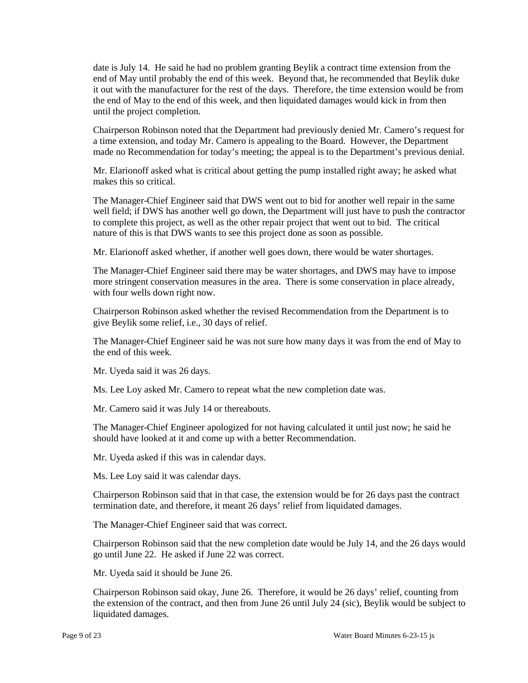date is July 14. He said he had no problem granting Beylik a contract time extension from the end of May until probably the end of this week. Beyond that, he recommended that Beylik duke it out with the manufacturer for the rest of the days. Therefore, the time extension would be from the end of May to the end of this week, and then liquidated damages would kick in from then until the project completion.

 a time extension, and today Mr. Camero is appealing to the Board. However, the Department Chairperson Robinson noted that the Department had previously denied Mr. Camero's request for made no Recommendation for today's meeting; the appeal is to the Department's previous denial.

Mr. Elarionoff asked what is critical about getting the pump installed right away; he asked what makes this so critical.

 The Manager-Chief Engineer said that DWS went out to bid for another well repair in the same well field; if DWS has another well go down, the Department will just have to push the contractor to complete this project, as well as the other repair project that went out to bid. The critical nature of this is that DWS wants to see this project done as soon as possible.

Mr. Elarionoff asked whether, if another well goes down, there would be water shortages.

 more stringent conservation measures in the area. There is some conservation in place already, with four wells down right now. The Manager-Chief Engineer said there may be water shortages, and DWS may have to impose

Chairperson Robinson asked whether the revised Recommendation from the Department is to give Beylik some relief, i.e., 30 days of relief.

 The Manager-Chief Engineer said he was not sure how many days it was from the end of May to the end of this week.

Mr. Uyeda said it was 26 days.

Ms. Lee Loy asked Mr. Camero to repeat what the new completion date was.

Mr. Camero said it was July 14 or thereabouts.

 should have looked at it and come up with a better Recommendation. The Manager-Chief Engineer apologized for not having calculated it until just now; he said he

Mr. Uyeda asked if this was in calendar days.

Ms. Lee Loy said it was calendar days.

 termination date, and therefore, it meant 26 days' relief from liquidated damages. Chairperson Robinson said that in that case, the extension would be for 26 days past the contract

The Manager-Chief Engineer said that was correct.

 go until June 22. He asked if June 22 was correct. Chairperson Robinson said that the new completion date would be July 14, and the 26 days would

Mr. Uyeda said it should be June 26.

 the extension of the contract, and then from June 26 until July 24 (sic), Beylik would be subject to Chairperson Robinson said okay, June 26. Therefore, it would be 26 days' relief, counting from liquidated damages.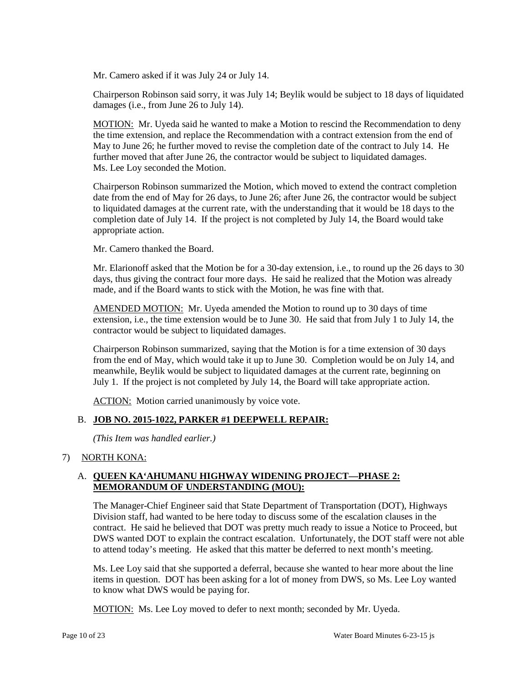Mr. Camero asked if it was July 24 or July 14.

Chairperson Robinson said sorry, it was July 14; Beylik would be subject to 18 days of liquidated damages (i.e., from June 26 to July 14).

 May to June 26; he further moved to revise the completion date of the contract to July 14. He further moved that after June 26, the contractor would be subject to liquidated damages. Ms. Lee Loy seconded the Motion. Ms. Lee Loy seconded the Motion. MOTION: Mr. Uyeda said he wanted to make a Motion to rescind the Recommendation to deny the time extension, and replace the Recommendation with a contract extension from the end of

 date from the end of May for 26 days, to June 26; after June 26, the contractor would be subject Chairperson Robinson summarized the Motion, which moved to extend the contract completion to liquidated damages at the current rate, with the understanding that it would be 18 days to the completion date of July 14. If the project is not completed by July 14, the Board would take appropriate action.

Mr. Camero thanked the Board.

 Mr. Elarionoff asked that the Motion be for a 30-day extension, i.e., to round up the 26 days to 30 days, thus giving the contract four more days. He said he realized that the Motion was already made, and if the Board wants to stick with the Motion, he was fine with that.

AMENDED MOTION: Mr. Uyeda amended the Motion to round up to 30 days of time extension, i.e., the time extension would be to June 30. He said that from July 1 to July 14, the contractor would be subject to liquidated damages.

 Chairperson Robinson summarized, saying that the Motion is for a time extension of 30 days meanwhile, Beylik would be subject to liquidated damages at the current rate, beginning on July 1. If the project is not completed by July 14, the Board will take appropriate action. from the end of May, which would take it up to June 30. Completion would be on July 14, and

ACTION: Motion carried unanimously by voice vote.

# B. **JOB NO. 2015-1022, PARKER #1 DEEPWELL REPAIR:**

 *(This Item was handled earlier.)* 

## 7) NORTH KONA:

# A. **QUEEN KA'AHUMANU HIGHWAY WIDENING PROJECT—PHASE 2: MEMORANDUM OF UNDERSTANDING (MOU):**

 The Manager-Chief Engineer said that State Department of Transportation (DOT), Highways Division staff, had wanted to be here today to discuss some of the escalation clauses in the contract. He said he believed that DOT was pretty much ready to issue a Notice to Proceed, but DWS wanted DOT to explain the contract escalation. Unfortunately, the DOT staff were not able to attend today's meeting. He asked that this matter be deferred to next month's meeting.

 Ms. Lee Loy said that she supported a deferral, because she wanted to hear more about the line items in question. DOT has been asking for a lot of money from DWS, so Ms. Lee Loy wanted to know what DWS would be paying for.

MOTION: Ms. Lee Loy moved to defer to next month; seconded by Mr. Uyeda.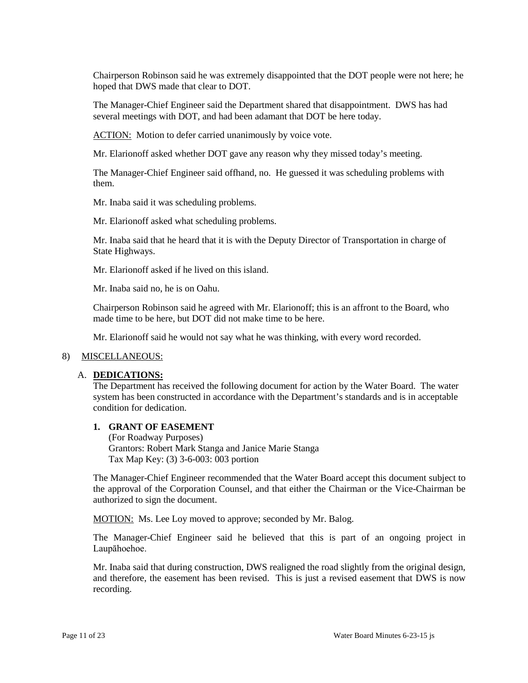hoped that DWS made that clear to DOT. Chairperson Robinson said he was extremely disappointed that the DOT people were not here; he

The Manager-Chief Engineer said the Department shared that disappointment. DWS has had several meetings with DOT, and had been adamant that DOT be here today.

ACTION: Motion to defer carried unanimously by voice vote.

Mr. Elarionoff asked whether DOT gave any reason why they missed today's meeting.

The Manager-Chief Engineer said offhand, no. He guessed it was scheduling problems with them.

Mr. Inaba said it was scheduling problems.

Mr. Elarionoff asked what scheduling problems.

Mr. Inaba said that he heard that it is with the Deputy Director of Transportation in charge of State Highways.

Mr. Elarionoff asked if he lived on this island.

Mr. Inaba said no, he is on Oahu.

 Chairperson Robinson said he agreed with Mr. Elarionoff; this is an affront to the Board, who made time to be here, but DOT did not make time to be here.

Mr. Elarionoff said he would not say what he was thinking, with every word recorded.

#### 8) MISCELLANEOUS:

#### A. **DEDICATIONS:**

The Department has received the following document for action by the Water Board. The water system has been constructed in accordance with the Department's standards and is in acceptable condition for dedication.

#### **1. GRANT OF EASEMENT**

(For Roadway Purposes) Grantors: Robert Mark Stanga and Janice Marie Stanga Tax Map Key: (3) 3-6-003: 003 portion

 The Manager-Chief Engineer recommended that the Water Board accept this document subject to the approval of the Corporation Counsel, and that either the Chairman or the Vice-Chairman be authorized to sign the document.

MOTION: Ms. Lee Loy moved to approve; seconded by Mr. Balog.

 The Manager-Chief Engineer said he believed that this is part of an ongoing project in Laupāhoehoe.

Mr. Inaba said that during construction, DWS realigned the road slightly from the original design, and therefore, the easement has been revised. This is just a revised easement that DWS is now recording.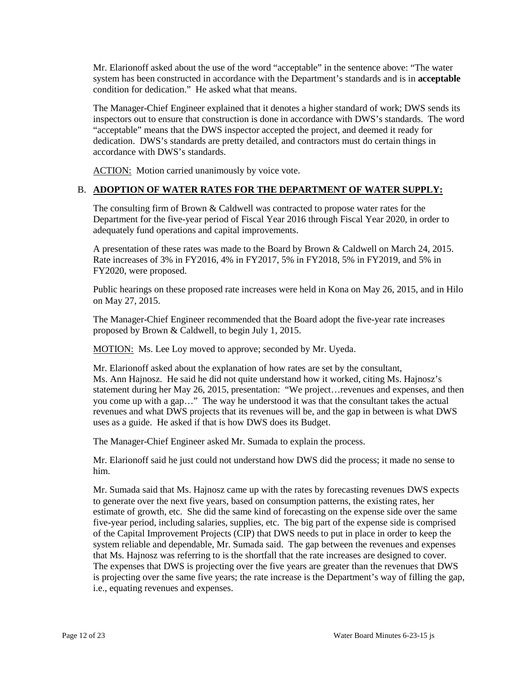Mr. Elarionoff asked about the use of the word "acceptable" in the sentence above: "The water condition for dedication." He asked what that means. system has been constructed in accordance with the Department's standards and is in **acceptable** 

 The Manager-Chief Engineer explained that it denotes a higher standard of work; DWS sends its inspectors out to ensure that construction is done in accordance with DWS's standards. The word "acceptable" means that the DWS inspector accepted the project, and deemed it ready for dedication. DWS's standards are pretty detailed, and contractors must do certain things in accordance with DWS's standards.

ACTION: Motion carried unanimously by voice vote.

# B. **ADOPTION OF WATER RATES FOR THE DEPARTMENT OF WATER SUPPLY:**

 The consulting firm of Brown & Caldwell was contracted to propose water rates for the Department for the five-year period of Fiscal Year 2016 through Fiscal Year 2020, in order to adequately fund operations and capital improvements.

A presentation of these rates was made to the Board by Brown & Caldwell on March 24, 2015. Rate increases of 3% in FY2016, 4% in FY2017, 5% in FY2018, 5% in FY2019, and 5% in FY2020, were proposed.

Public hearings on these proposed rate increases were held in Kona on May 26, 2015, and in Hilo on May 27, 2015.

The Manager-Chief Engineer recommended that the Board adopt the five-year rate increases proposed by Brown & Caldwell, to begin July 1, 2015.

MOTION: Ms. Lee Loy moved to approve; seconded by Mr. Uyeda.

 Mr. Elarionoff asked about the explanation of how rates are set by the consultant, statement during her May 26, 2015, presentation: "We project…revenues and expenses, and then you come up with a gap…" The way he understood it was that the consultant takes the actual revenues and what DWS projects that its revenues will be, and the gap in between is what DWS Ms. Ann Hajnosz. He said he did not quite understand how it worked, citing Ms. Hajnosz's uses as a guide. He asked if that is how DWS does its Budget.

The Manager-Chief Engineer asked Mr. Sumada to explain the process.

 Mr. Elarionoff said he just could not understand how DWS did the process; it made no sense to him.

 five-year period, including salaries, supplies, etc. The big part of the expense side is comprised system reliable and dependable, Mr. Sumada said. The gap between the revenues and expenses that Ms. Hajnosz was referring to is the shortfall that the rate increases are designed to cover. Mr. Sumada said that Ms. Hajnosz came up with the rates by forecasting revenues DWS expects to generate over the next five years, based on consumption patterns, the existing rates, her estimate of growth, etc. She did the same kind of forecasting on the expense side over the same of the Capital Improvement Projects (CIP) that DWS needs to put in place in order to keep the The expenses that DWS is projecting over the five years are greater than the revenues that DWS is projecting over the same five years; the rate increase is the Department's way of filling the gap, i.e., equating revenues and expenses.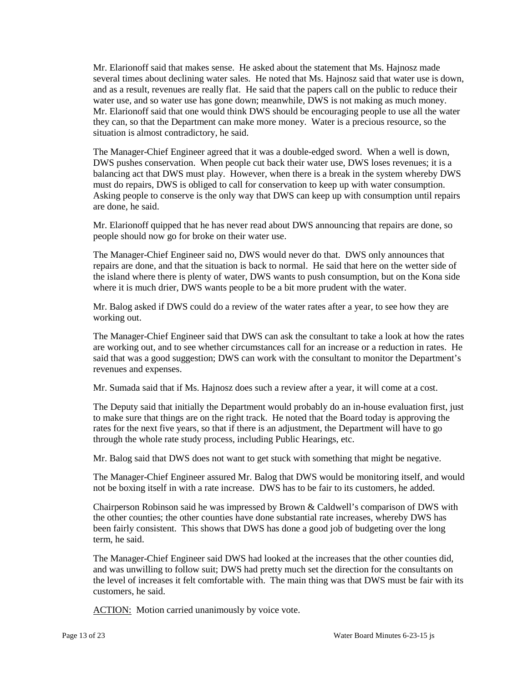several times about declining water sales. He noted that Ms. Hajnosz said that water use is down, and as a result, revenues are really flat. He said that the papers call on the public to reduce their water use, and so water use has gone down; meanwhile, DWS is not making as much money. Mr. Elarionoff said that one would think DWS should be encouraging people to use all the water they can, so that the Department can make more money. Water is a precious resource, so the Mr. Elarionoff said that makes sense. He asked about the statement that Ms. Hajnosz made situation is almost contradictory, he said.

 The Manager-Chief Engineer agreed that it was a double-edged sword. When a well is down, Asking people to conserve is the only way that DWS can keep up with consumption until repairs DWS pushes conservation. When people cut back their water use, DWS loses revenues; it is a balancing act that DWS must play. However, when there is a break in the system whereby DWS must do repairs, DWS is obliged to call for conservation to keep up with water consumption. are done, he said.

Mr. Elarionoff quipped that he has never read about DWS announcing that repairs are done, so people should now go for broke on their water use.

 The Manager-Chief Engineer said no, DWS would never do that. DWS only announces that repairs are done, and that the situation is back to normal. He said that here on the wetter side of the island where there is plenty of water, DWS wants to push consumption, but on the Kona side where it is much drier, DWS wants people to be a bit more prudent with the water.

 Mr. Balog asked if DWS could do a review of the water rates after a year, to see how they are working out.

 The Manager-Chief Engineer said that DWS can ask the consultant to take a look at how the rates are working out, and to see whether circumstances call for an increase or a reduction in rates. He said that was a good suggestion; DWS can work with the consultant to monitor the Department's revenues and expenses.

Mr. Sumada said that if Ms. Hajnosz does such a review after a year, it will come at a cost.

 rates for the next five years, so that if there is an adjustment, the Department will have to go The Deputy said that initially the Department would probably do an in-house evaluation first, just to make sure that things are on the right track. He noted that the Board today is approving the through the whole rate study process, including Public Hearings, etc.

Mr. Balog said that DWS does not want to get stuck with something that might be negative.

The Manager-Chief Engineer assured Mr. Balog that DWS would be monitoring itself, and would not be boxing itself in with a rate increase. DWS has to be fair to its customers, he added.

Chairperson Robinson said he was impressed by Brown & Caldwell's comparison of DWS with the other counties; the other counties have done substantial rate increases, whereby DWS has been fairly consistent. This shows that DWS has done a good job of budgeting over the long term, he said.

 The Manager-Chief Engineer said DWS had looked at the increases that the other counties did, and was unwilling to follow suit; DWS had pretty much set the direction for the consultants on the level of increases it felt comfortable with. The main thing was that DWS must be fair with its customers, he said.

ACTION: Motion carried unanimously by voice vote.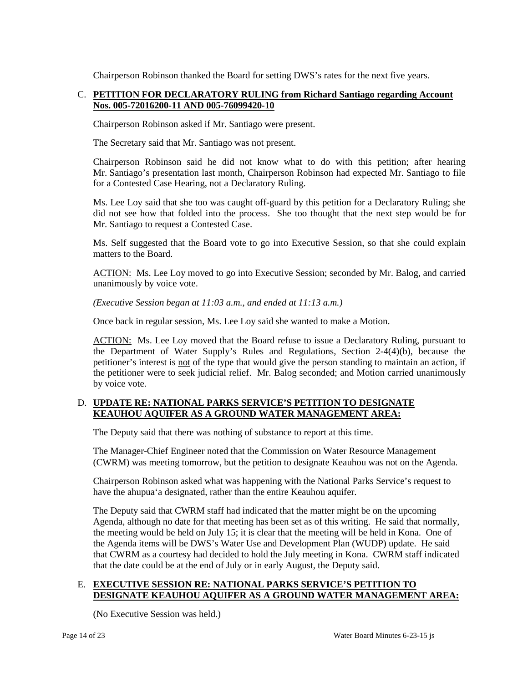Chairperson Robinson thanked the Board for setting DWS's rates for the next five years.

# C. **PETITION FOR DECLARATORY RULING from Richard Santiago regarding Account Nos. 005-72016200-11 AND 005-76099420-10**

Chairperson Robinson asked if Mr. Santiago were present.

The Secretary said that Mr. Santiago was not present.

Chairperson Robinson said he did not know what to do with this petition; after hearing Mr. Santiago's presentation last month, Chairperson Robinson had expected Mr. Santiago to file for a Contested Case Hearing, not a Declaratory Ruling.

 Ms. Lee Loy said that she too was caught off-guard by this petition for a Declaratory Ruling; she did not see how that folded into the process. She too thought that the next step would be for Mr. Santiago to request a Contested Case.

Ms. Self suggested that the Board vote to go into Executive Session, so that she could explain matters to the Board.

ACTION: Ms. Lee Loy moved to go into Executive Session; seconded by Mr. Balog, and carried unanimously by voice vote.

 *(Executive Session began at 11:03 a.m., and ended at 11:13 a.m.)* 

Once back in regular session, Ms. Lee Loy said she wanted to make a Motion.

ACTION: Ms. Lee Loy moved that the Board refuse to issue a Declaratory Ruling, pursuant to the petitioner were to seek judicial relief. Mr. Balog seconded; and Motion carried unanimously the Department of Water Supply's Rules and Regulations, Section 2-4(4)(b), because the petitioner's interest is not of the type that would give the person standing to maintain an action, if by voice vote.

# D. **UPDATE RE: NATIONAL PARKS SERVICE'S PETITION TO DESIGNATE KEAUHOU AQUIFER AS A GROUND WATER MANAGEMENT AREA:**

The Deputy said that there was nothing of substance to report at this time.

The Manager-Chief Engineer noted that the Commission on Water Resource Management (CWRM) was meeting tomorrow, but the petition to designate Keauhou was not on the Agenda.

 have the ahupua'a designated, rather than the entire Keauhou aquifer. Chairperson Robinson asked what was happening with the National Parks Service's request to

 the meeting would be held on July 15; it is clear that the meeting will be held in Kona. One of that CWRM as a courtesy had decided to hold the July meeting in Kona. CWRM staff indicated The Deputy said that CWRM staff had indicated that the matter might be on the upcoming Agenda, although no date for that meeting has been set as of this writing. He said that normally, the Agenda items will be DWS's Water Use and Development Plan (WUDP) update. He said that the date could be at the end of July or in early August, the Deputy said.

# E. **EXECUTIVE SESSION RE: NATIONAL PARKS SERVICE'S PETITION TO DESIGNATE KEAUHOU AQUIFER AS A GROUND WATER MANAGEMENT AREA:**

(No Executive Session was held.)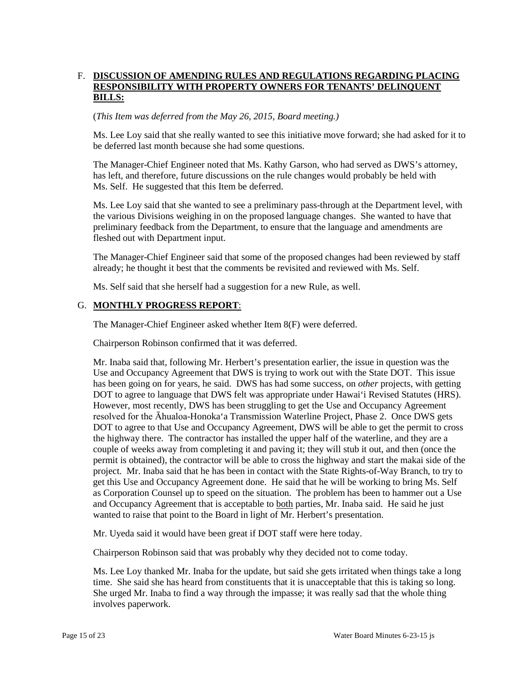# F. DISCUSSION OF AMENDING RULES AND REGULATIONS REGARDING PLACING **RESPONSIBILITY WITH PROPERTY OWNERS FOR TENANTS' DELINQUENT BILLS:**

(*This Item was deferred from the May 26, 2015, Board meeting.)* 

Ms. Lee Loy said that she really wanted to see this initiative move forward; she had asked for it to be deferred last month because she had some questions.

The Manager-Chief Engineer noted that Ms. Kathy Garson, who had served as DWS's attorney, has left, and therefore, future discussions on the rule changes would probably be held with Ms. Self. He suggested that this Item be deferred.

 the various Divisions weighing in on the proposed language changes. She wanted to have that Ms. Lee Loy said that she wanted to see a preliminary pass-through at the Department level, with preliminary feedback from the Department, to ensure that the language and amendments are fleshed out with Department input.

 The Manager-Chief Engineer said that some of the proposed changes had been reviewed by staff already; he thought it best that the comments be revisited and reviewed with Ms. Self.

Ms. Self said that she herself had a suggestion for a new Rule, as well.

## G. **MONTHLY PROGRESS REPORT**:

The Manager-Chief Engineer asked whether Item 8(F) were deferred.

Chairperson Robinson confirmed that it was deferred.

 Use and Occupancy Agreement that DWS is trying to work out with the State DOT. This issue has been going on for years, he said. DWS has had some success, on *other* projects, with getting DOT to agree to language that DWS felt was appropriate under Hawai'i Revised Statutes (HRS). the highway there. The contractor has installed the upper half of the waterline, and they are a couple of weeks away from completing it and paving it; they will stub it out, and then (once the and Occupancy Agreement that is acceptable to both parties, Mr. Inaba said. He said he just wanted to raise that point to the Board in light of Mr. Herbert's presentation. Mr. Inaba said that, following Mr. Herbert's presentation earlier, the issue in question was the However, most recently, DWS has been struggling to get the Use and Occupancy Agreement resolved for the Āhualoa-Honoka'a Transmission Waterline Project, Phase 2. Once DWS gets DOT to agree to that Use and Occupancy Agreement, DWS will be able to get the permit to cross permit is obtained), the contractor will be able to cross the highway and start the makai side of the project. Mr. Inaba said that he has been in contact with the State Rights-of-Way Branch, to try to get this Use and Occupancy Agreement done. He said that he will be working to bring Ms. Self as Corporation Counsel up to speed on the situation. The problem has been to hammer out a Use

Mr. Uyeda said it would have been great if DOT staff were here today.

Chairperson Robinson said that was probably why they decided not to come today.

 Ms. Lee Loy thanked Mr. Inaba for the update, but said she gets irritated when things take a long time. She said she has heard from constituents that it is unacceptable that this is taking so long. time. She said she has heard from constituents that it is unacceptable that this is taking so long. She urged Mr. Inaba to find a way through the impasse; it was really sad that the whole thing involves paperwork.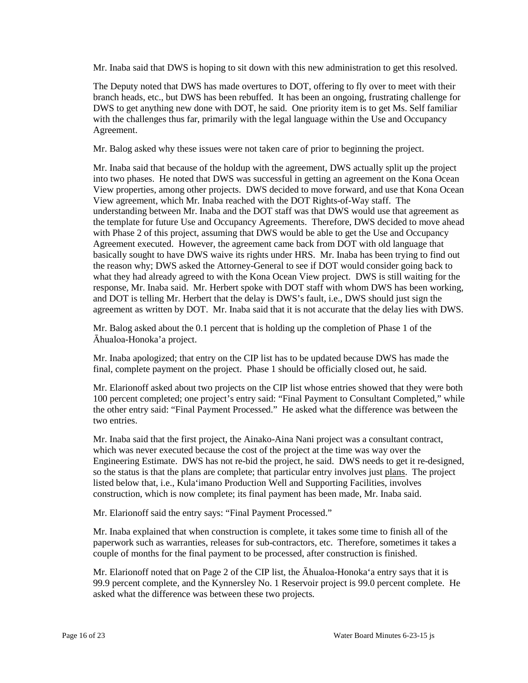Mr. Inaba said that DWS is hoping to sit down with this new administration to get this resolved.

 DWS to get anything new done with DOT, he said. One priority item is to get Ms. Self familiar with the challenges thus far, primarily with the legal language within the Use and Occupancy The Deputy noted that DWS has made overtures to DOT, offering to fly over to meet with their branch heads, etc., but DWS has been rebuffed. It has been an ongoing, frustrating challenge for Agreement.

Mr. Balog asked why these issues were not taken care of prior to beginning the project.

 Mr. Inaba said that because of the holdup with the agreement, DWS actually split up the project into two phases. He noted that DWS was successful in getting an agreement on the Kona Ocean View properties, among other projects. DWS decided to move forward, and use that Kona Ocean View agreement, which Mr. Inaba reached with the DOT Rights-of-Way staff. The the template for future Use and Occupancy Agreements. Therefore, DWS decided to move ahead basically sought to have DWS waive its rights under HRS. Mr. Inaba has been trying to find out what they had already agreed to with the Kona Ocean View project. DWS is still waiting for the response, Mr. Inaba said. Mr. Herbert spoke with DOT staff with whom DWS has been working, agreement as written by DOT. Mr. Inaba said that it is not accurate that the delay lies with DWS. understanding between Mr. Inaba and the DOT staff was that DWS would use that agreement as with Phase 2 of this project, assuming that DWS would be able to get the Use and Occupancy Agreement executed. However, the agreement came back from DOT with old language that the reason why; DWS asked the Attorney-General to see if DOT would consider going back to and DOT is telling Mr. Herbert that the delay is DWS's fault, i.e., DWS should just sign the

 Mr. Balog asked about the 0.1 percent that is holding up the completion of Phase 1 of the Āhualoa-Honoka'a project.

 Mr. Inaba apologized; that entry on the CIP list has to be updated because DWS has made the final, complete payment on the project. Phase 1 should be officially closed out, he said.

 Mr. Elarionoff asked about two projects on the CIP list whose entries showed that they were both the other entry said: "Final Payment Processed." He asked what the difference was between the 100 percent completed; one project's entry said: "Final Payment to Consultant Completed," while two entries.

 which was never executed because the cost of the project at the time was way over the Engineering Estimate. DWS has not re-bid the project, he said. DWS needs to get it re-designed, Mr. Inaba said that the first project, the Ainako-Aina Nani project was a consultant contract, so the status is that the plans are complete; that particular entry involves just plans. The project listed below that, i.e., Kula'imano Production Well and Supporting Facilities, involves construction, which is now complete; its final payment has been made, Mr. Inaba said.

Mr. Elarionoff said the entry says: "Final Payment Processed."

 couple of months for the final payment to be processed, after construction is finished. Mr. Inaba explained that when construction is complete, it takes some time to finish all of the paperwork such as warranties, releases for sub-contractors, etc. Therefore, sometimes it takes a

 Mr. Elarionoff noted that on Page 2 of the CIP list, the Āhualoa-Honoka'a entry says that it is 99.9 percent complete, and the Kynnersley No. 1 Reservoir project is 99.0 percent complete. He asked what the difference was between these two projects.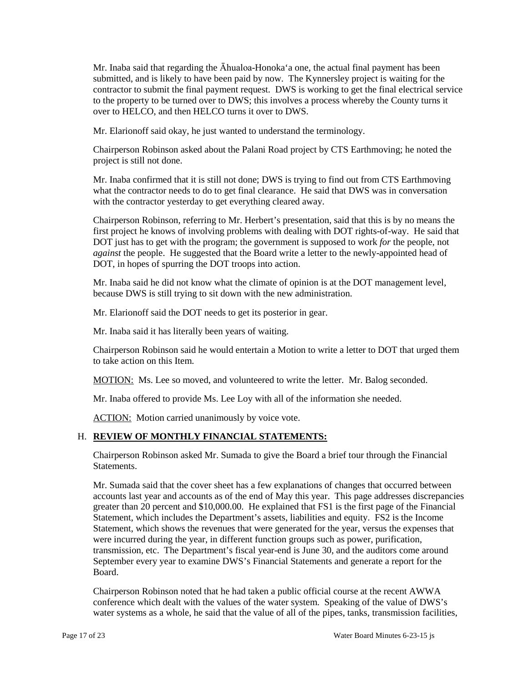over to HELCO, and then HELCO turns it over to DWS. Mr. Inaba said that regarding the Āhualoa-Honoka'a one, the actual final payment has been submitted, and is likely to have been paid by now. The Kynnersley project is waiting for the contractor to submit the final payment request. DWS is working to get the final electrical service to the property to be turned over to DWS; this involves a process whereby the County turns it

Mr. Elarionoff said okay, he just wanted to understand the terminology.

Chairperson Robinson asked about the Palani Road project by CTS Earthmoving; he noted the project is still not done.

 Mr. Inaba confirmed that it is still not done; DWS is trying to find out from CTS Earthmoving what the contractor needs to do to get final clearance. He said that DWS was in conversation with the contractor yesterday to get everything cleared away.

 Chairperson Robinson, referring to Mr. Herbert's presentation, said that this is by no means the DOT just has to get with the program; the government is supposed to work *for* the people, not DOT, in hopes of spurring the DOT troops into action. first project he knows of involving problems with dealing with DOT rights-of-way. He said that *against* the people. He suggested that the Board write a letter to the newly-appointed head of

 because DWS is still trying to sit down with the new administration. Mr. Inaba said he did not know what the climate of opinion is at the DOT management level,

Mr. Elarionoff said the DOT needs to get its posterior in gear.

Mr. Inaba said it has literally been years of waiting.

Chairperson Robinson said he would entertain a Motion to write a letter to DOT that urged them to take action on this Item.

MOTION: Ms. Lee so moved, and volunteered to write the letter. Mr. Balog seconded.

Mr. Inaba offered to provide Ms. Lee Loy with all of the information she needed.

ACTION: Motion carried unanimously by voice vote.

# H. **REVIEW OF MONTHLY FINANCIAL STATEMENTS:**

Chairperson Robinson asked Mr. Sumada to give the Board a brief tour through the Financial Statements.

 accounts last year and accounts as of the end of May this year. This page addresses discrepancies greater than 20 percent and \$10,000.00. He explained that FS1 is the first page of the Financial Statement, which shows the revenues that were generated for the year, versus the expenses that transmission, etc. The Department's fiscal year-end is June 30, and the auditors come around September every year to examine DWS's Financial Statements and generate a report for the Mr. Sumada said that the cover sheet has a few explanations of changes that occurred between Statement, which includes the Department's assets, liabilities and equity. FS2 is the Income were incurred during the year, in different function groups such as power, purification, Board.

 Chairperson Robinson noted that he had taken a public official course at the recent AWWA water systems as a whole, he said that the value of all of the pipes, tanks, transmission facilities, conference which dealt with the values of the water system. Speaking of the value of DWS's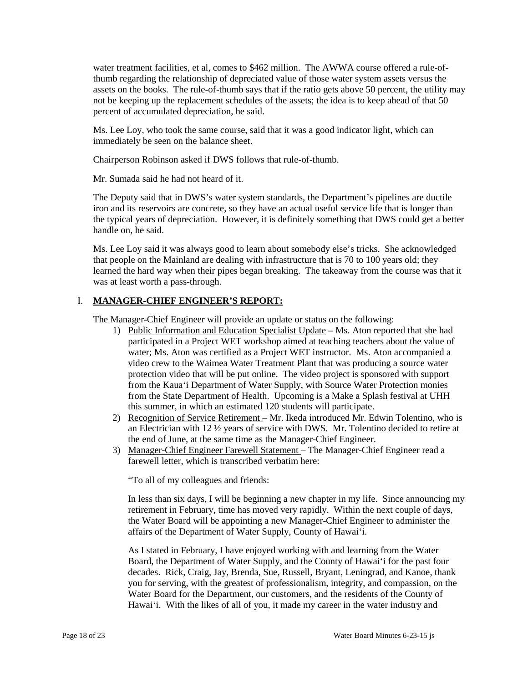assets on the books. The rule-of-thumb says that if the ratio gets above 50 percent, the utility may water treatment facilities, et al, comes to \$462 million. The AWWA course offered a rule-ofthumb regarding the relationship of depreciated value of those water system assets versus the not be keeping up the replacement schedules of the assets; the idea is to keep ahead of that 50 percent of accumulated depreciation, he said.

 immediately be seen on the balance sheet. Ms. Lee Loy, who took the same course, said that it was a good indicator light, which can

Chairperson Robinson asked if DWS follows that rule-of-thumb.

Mr. Sumada said he had not heard of it.

 iron and its reservoirs are concrete, so they have an actual useful service life that is longer than the typical years of depreciation. However, it is definitely something that DWS could get a better The Deputy said that in DWS's water system standards, the Department's pipelines are ductile handle on, he said.

 that people on the Mainland are dealing with infrastructure that is 70 to 100 years old; they learned the hard way when their pipes began breaking. The takeaway from the course was that it Ms. Lee Loy said it was always good to learn about somebody else's tricks. She acknowledged was at least worth a pass-through.

## I. **MANAGER-CHIEF ENGINEER'S REPORT:**

The Manager-Chief Engineer will provide an update or status on the following:

- participated in a Project WET workshop aimed at teaching teachers about the value of video crew to the Waimea Water Treatment Plant that was producing a source water 1) Public Information and Education Specialist Update – Ms. Aton reported that she had water; Ms. Aton was certified as a Project WET instructor. Ms. Aton accompanied a protection video that will be put online. The video project is sponsored with support from the Kaua'i Department of Water Supply, with Source Water Protection monies from the State Department of Health. Upcoming is a Make a Splash festival at UHH this summer, in which an estimated 120 students will participate.
- an Electrician with 12 ½ years of service with DWS. Mr. Tolentino decided to retire at 2) Recognition of Service Retirement – Mr. Ikeda introduced Mr. Edwin Tolentino, who is the end of June, at the same time as the Manager-Chief Engineer.
- 3) Manager-Chief Engineer Farewell Statement The Manager-Chief Engineer read a farewell letter, which is transcribed verbatim here:

"To all of my colleagues and friends:

 the Water Board will be appointing a new Manager-Chief Engineer to administer the In less than six days, I will be beginning a new chapter in my life. Since announcing my retirement in February, time has moved very rapidly. Within the next couple of days, affairs of the Department of Water Supply, County of Hawai'i.

 As I stated in February, I have enjoyed working with and learning from the Water Board, the Department of Water Supply, and the County of Hawai'i for the past four Hawai'i. With the likes of all of you, it made my career in the water industry and decades. Rick, Craig, Jay, Brenda, Sue, Russell, Bryant, Leningrad, and Kanoe, thank you for serving, with the greatest of professionalism, integrity, and compassion, on the Water Board for the Department, our customers, and the residents of the County of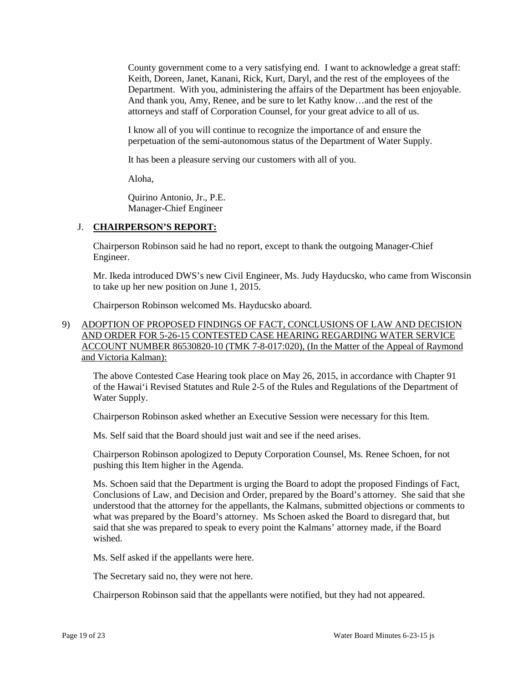County government come to a very satisfying end. I want to acknowledge a great staff: Keith, Doreen, Janet, Kanani, Rick, Kurt, Daryl, and the rest of the employees of the And thank you, Amy, Renee, and be sure to let Kathy know…and the rest of the Department. With you, administering the affairs of the Department has been enjoyable. attorneys and staff of Corporation Counsel, for your great advice to all of us.

 I know all of you will continue to recognize the importance of and ensure the perpetuation of the semi-autonomous status of the Department of Water Supply.

It has been a pleasure serving our customers with all of you.

Aloha,

 Quirino Antonio, Jr., P.E. Manager-Chief Engineer

## J. **CHAIRPERSON'S REPORT:**

Chairperson Robinson said he had no report, except to thank the outgoing Manager-Chief Engineer.

 to take up her new position on June 1, 2015. Mr. Ikeda introduced DWS's new Civil Engineer, Ms. Judy Hayducsko, who came from Wisconsin

Chairperson Robinson welcomed Ms. Hayducsko aboard.

# 9) ADOPTION OF PROPOSED FINDINGS OF FACT, CONCLUSIONS OF LAW AND DECISION AND ORDER FOR 5-26-15 CONTESTED CASE HEARING REGARDING WATER SERVICE ACCOUNT NUMBER 86530820-10 (TMK 7-8-017:020), (In the Matter of the Appeal of Raymond and Victoria Kalman):

The above Contested Case Hearing took place on May 26, 2015, in accordance with Chapter 91 of the Hawai'i Revised Statutes and Rule 2-5 of the Rules and Regulations of the Department of Water Supply.

Chairperson Robinson asked whether an Executive Session were necessary for this Item.

Ms. Self said that the Board should just wait and see if the need arises.

Chairperson Robinson apologized to Deputy Corporation Counsel, Ms. Renee Schoen, for not pushing this Item higher in the Agenda.

 Ms. Schoen said that the Department is urging the Board to adopt the proposed Findings of Fact, understood that the attorney for the appellants, the Kalmans, submitted objections or comments to Conclusions of Law, and Decision and Order, prepared by the Board's attorney. She said that she what was prepared by the Board's attorney. Ms Schoen asked the Board to disregard that, but said that she was prepared to speak to every point the Kalmans' attorney made, if the Board wished.

Ms. Self asked if the appellants were here.

The Secretary said no, they were not here.

Chairperson Robinson said that the appellants were notified, but they had not appeared.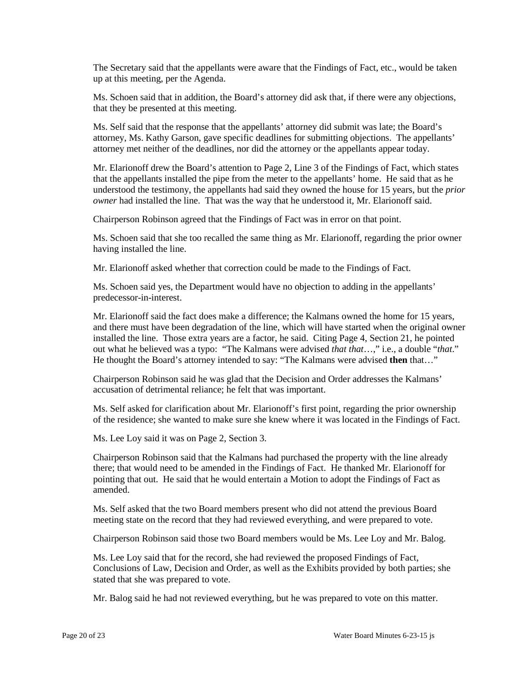The Secretary said that the appellants were aware that the Findings of Fact, etc., would be taken up at this meeting, per the Agenda.

 that they be presented at this meeting. Ms. Schoen said that in addition, the Board's attorney did ask that, if there were any objections,

 Ms. Self said that the response that the appellants' attorney did submit was late; the Board's attorney, Ms. Kathy Garson, gave specific deadlines for submitting objections. The appellants' attorney met neither of the deadlines, nor did the attorney or the appellants appear today.

 Mr. Elarionoff drew the Board's attention to Page 2, Line 3 of the Findings of Fact, which states that the appellants installed the pipe from the meter to the appellants' home. He said that as he understood the testimony, the appellants had said they owned the house for 15 years, but the *prior owner* had installed the line. That was the way that he understood it, Mr. Elarionoff said.

Chairperson Robinson agreed that the Findings of Fact was in error on that point.

 Ms. Schoen said that she too recalled the same thing as Mr. Elarionoff, regarding the prior owner having installed the line.

Mr. Elarionoff asked whether that correction could be made to the Findings of Fact.

Ms. Schoen said yes, the Department would have no objection to adding in the appellants' predecessor-in-interest.

 Mr. Elarionoff said the fact does make a difference; the Kalmans owned the home for 15 years, out what he believed was a typo: "The Kalmans were advised that that...," i.e., a double "that." and there must have been degradation of the line, which will have started when the original owner installed the line. Those extra years are a factor, he said. Citing Page 4, Section 21, he pointed He thought the Board's attorney intended to say: "The Kalmans were advised **then** that..."

 Chairperson Robinson said he was glad that the Decision and Order addresses the Kalmans' accusation of detrimental reliance; he felt that was important.

 of the residence; she wanted to make sure she knew where it was located in the Findings of Fact. Ms. Self asked for clarification about Mr. Elarionoff's first point, regarding the prior ownership

Ms. Lee Loy said it was on Page 2, Section 3.

 Chairperson Robinson said that the Kalmans had purchased the property with the line already pointing that out. He said that he would entertain a Motion to adopt the Findings of Fact as there; that would need to be amended in the Findings of Fact. He thanked Mr. Elarionoff for amended.

 Ms. Self asked that the two Board members present who did not attend the previous Board meeting state on the record that they had reviewed everything, and were prepared to vote.

Chairperson Robinson said those two Board members would be Ms. Lee Loy and Mr. Balog.

 Ms. Lee Loy said that for the record, she had reviewed the proposed Findings of Fact, Conclusions of Law, Decision and Order, as well as the Exhibits provided by both parties; she stated that she was prepared to vote.

Mr. Balog said he had not reviewed everything, but he was prepared to vote on this matter.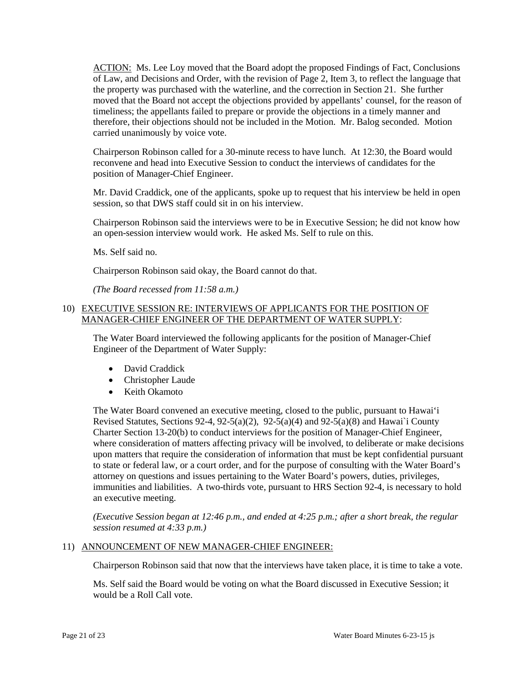timeliness; the appellants failed to prepare or provide the objections in a timely manner and ACTION: Ms. Lee Loy moved that the Board adopt the proposed Findings of Fact, Conclusions of Law, and Decisions and Order, with the revision of Page 2, Item 3, to reflect the language that the property was purchased with the waterline, and the correction in Section 21. She further moved that the Board not accept the objections provided by appellants' counsel, for the reason of therefore, their objections should not be included in the Motion. Mr. Balog seconded. Motion carried unanimously by voice vote.

 Chairperson Robinson called for a 30-minute recess to have lunch. At 12:30, the Board would reconvene and head into Executive Session to conduct the interviews of candidates for the position of Manager-Chief Engineer.

 Mr. David Craddick, one of the applicants, spoke up to request that his interview be held in open session, so that DWS staff could sit in on his interview.

Chairperson Robinson said the interviews were to be in Executive Session; he did not know how an open-session interview would work. He asked Ms. Self to rule on this.

Ms. Self said no.

Chairperson Robinson said okay, the Board cannot do that.

 *(The Board recessed from 11:58 a.m.)* 

## 10) EXECUTIVE SESSION RE: INTERVIEWS OF APPLICANTS FOR THE POSITION OF MANAGER-CHIEF ENGINEER OF THE DEPARTMENT OF WATER SUPPLY:

 The Water Board interviewed the following applicants for the position of Manager-Chief Engineer of the Department of Water Supply:

- David Craddick
- Christopher Laude
- Keith Okamoto

 Charter Section 13-20(b) to conduct interviews for the position of Manager-Chief Engineer, upon matters that require the consideration of information that must be kept confidential pursuant to state or federal law, or a court order, and for the purpose of consulting with the Water Board's immunities and liabilities. A two-thirds vote, pursuant to HRS Section 92-4, is necessary to hold The Water Board convened an executive meeting, closed to the public, pursuant to Hawai'i Revised Statutes, Sections 92-4, 92-5(a)(2), 92-5(a)(4) and 92-5(a)(8) and Hawai`i County where consideration of matters affecting privacy will be involved, to deliberate or make decisions attorney on questions and issues pertaining to the Water Board's powers, duties, privileges, an executive meeting.

*(Executive Session began at 12:46 p.m., and ended at 4:25 p.m.; after a short break, the regular session resumed at 4:33 p.m.)* 

## 11) ANNOUNCEMENT OF NEW MANAGER-CHIEF ENGINEER:

Chairperson Robinson said that now that the interviews have taken place, it is time to take a vote.

Ms. Self said the Board would be voting on what the Board discussed in Executive Session; it would be a Roll Call vote.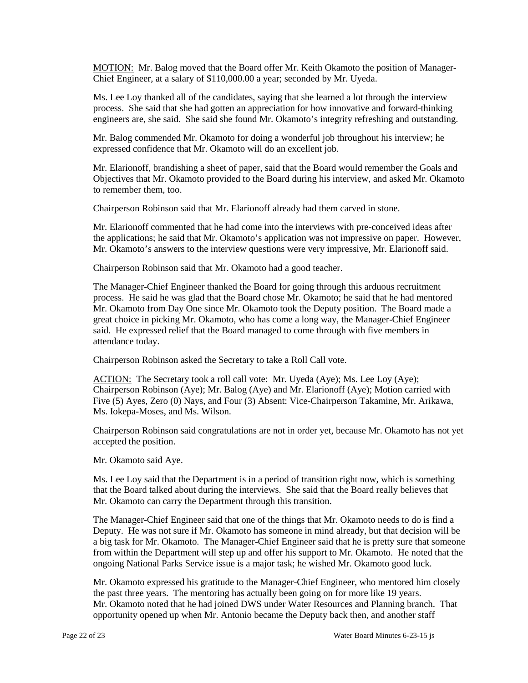MOTION: Mr. Balog moved that the Board offer Mr. Keith Okamoto the position of Manager-Chief Engineer, at a salary of \$110,000.00 a year; seconded by Mr. Uyeda.

 Ms. Lee Loy thanked all of the candidates, saying that she learned a lot through the interview process. She said that she had gotten an appreciation for how innovative and forward-thinking engineers are, she said. She said she found Mr. Okamoto's integrity refreshing and outstanding.

 expressed confidence that Mr. Okamoto will do an excellent job. Mr. Balog commended Mr. Okamoto for doing a wonderful job throughout his interview; he

Mr. Elarionoff, brandishing a sheet of paper, said that the Board would remember the Goals and Objectives that Mr. Okamoto provided to the Board during his interview, and asked Mr. Okamoto to remember them, too.

Chairperson Robinson said that Mr. Elarionoff already had them carved in stone.

Mr. Elarionoff commented that he had come into the interviews with pre-conceived ideas after the applications; he said that Mr. Okamoto's application was not impressive on paper. However, Mr. Okamoto's answers to the interview questions were very impressive, Mr. Elarionoff said.

Chairperson Robinson said that Mr. Okamoto had a good teacher.

 The Manager-Chief Engineer thanked the Board for going through this arduous recruitment said. He expressed relief that the Board managed to come through with five members in process. He said he was glad that the Board chose Mr. Okamoto; he said that he had mentored Mr. Okamoto from Day One since Mr. Okamoto took the Deputy position. The Board made a great choice in picking Mr. Okamoto, who has come a long way, the Manager-Chief Engineer attendance today.

Chairperson Robinson asked the Secretary to take a Roll Call vote.

ACTION: The Secretary took a roll call vote: Mr. Uyeda (Aye); Ms. Lee Loy (Aye); Chairperson Robinson (Aye); Mr. Balog (Aye) and Mr. Elarionoff (Aye); Motion carried with Five (5) Ayes, Zero (0) Nays, and Four (3) Absent: Vice-Chairperson Takamine, Mr. Arikawa, Ms. Iokepa-Moses, and Ms. Wilson.

 accepted the position. Chairperson Robinson said congratulations are not in order yet, because Mr. Okamoto has not yet

Mr. Okamoto said Aye.

 Ms. Lee Loy said that the Department is in a period of transition right now, which is something that the Board talked about during the interviews. She said that the Board really believes that Mr. Okamoto can carry the Department through this transition.

 The Manager-Chief Engineer said that one of the things that Mr. Okamoto needs to do is find a a big task for Mr. Okamoto. The Manager-Chief Engineer said that he is pretty sure that someone from within the Department will step up and offer his support to Mr. Okamoto. He noted that the Deputy. He was not sure if Mr. Okamoto has someone in mind already, but that decision will be ongoing National Parks Service issue is a major task; he wished Mr. Okamoto good luck.

 Mr. Okamoto expressed his gratitude to the Manager-Chief Engineer, who mentored him closely the past three years. The mentoring has actually been going on for more like 19 years. Mr. Okamoto noted that he had joined DWS under Water Resources and Planning branch. That opportunity opened up when Mr. Antonio became the Deputy back then, and another staff